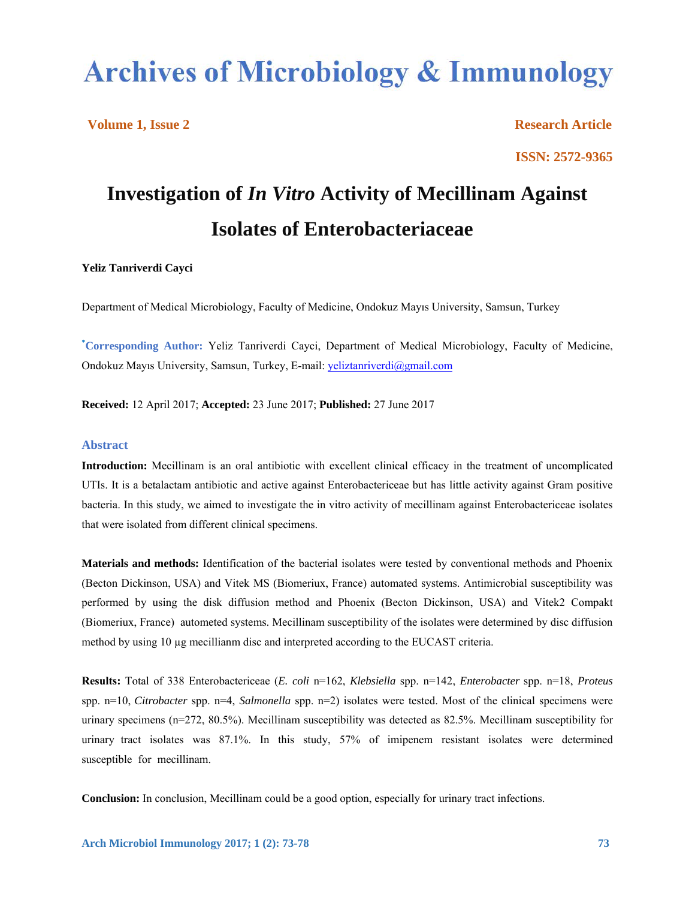# **Archives of Microbiology & Immunology**

**Volume 1, Issue 2** Research Article **ISSN: 2572-9365**

## **Investigation of** *In Vitro* **Activity of Mecillinam Against Isolates of Enterobacteriaceae**

#### **Yeliz Tanriverdi Cayci**

Department of Medical Microbiology, Faculty of Medicine, Ondokuz Mayıs University, Samsun, Turkey

**\* Corresponding Author:** Yeliz Tanriverdi Cayci, Department of Medical Microbiology, Faculty of Medicine, Ondokuz Mayıs University, Samsun, Turkey, E-mail: yeliztanriverdi@gmail.com

**Received:** 12 April 2017; **Accepted:** 23 June 2017; **Published:** 27 June 2017

#### **Abstract**

**Introduction:** Mecillinam is an oral antibiotic with excellent clinical efficacy in the treatment of uncomplicated UTIs. It is a betalactam antibiotic and active against Enterobactericeae but has little activity against Gram positive bacteria. In this study, we aimed to investigate the in vitro activity of mecillinam against Enterobactericeae isolates that were isolated from different clinical specimens.

**Materials and methods:** Identification of the bacterial isolates were tested by conventional methods and Phoenix (Becton Dickinson, USA) and Vitek MS (Biomeriux, France) automated systems. Antimicrobial susceptibility was performed by using the disk diffusion method and Phoenix (Becton Dickinson, USA) and Vitek2 Compakt (Biomeriux, France) autometed systems. Mecillinam susceptibility of the isolates were determined by disc diffusion method by using 10 µg mecillianm disc and interpreted according to the EUCAST criteria.

**Results:** Total of 338 Enterobactericeae (*E. coli* n=162, *Klebsiella* spp. n=142, *Enterobacter* spp. n=18, *Proteus* spp. n=10, *Citrobacter* spp. n=4, *Salmonella* spp. n=2) isolates were tested. Most of the clinical specimens were urinary specimens (n=272, 80.5%). Mecillinam susceptibility was detected as 82.5%. Mecillinam susceptibility for urinary tract isolates was 87.1%. In this study, 57% of imipenem resistant isolates were determined susceptible for mecillinam.

**Conclusion:** In conclusion, Mecillinam could be a good option, especially for urinary tract infections.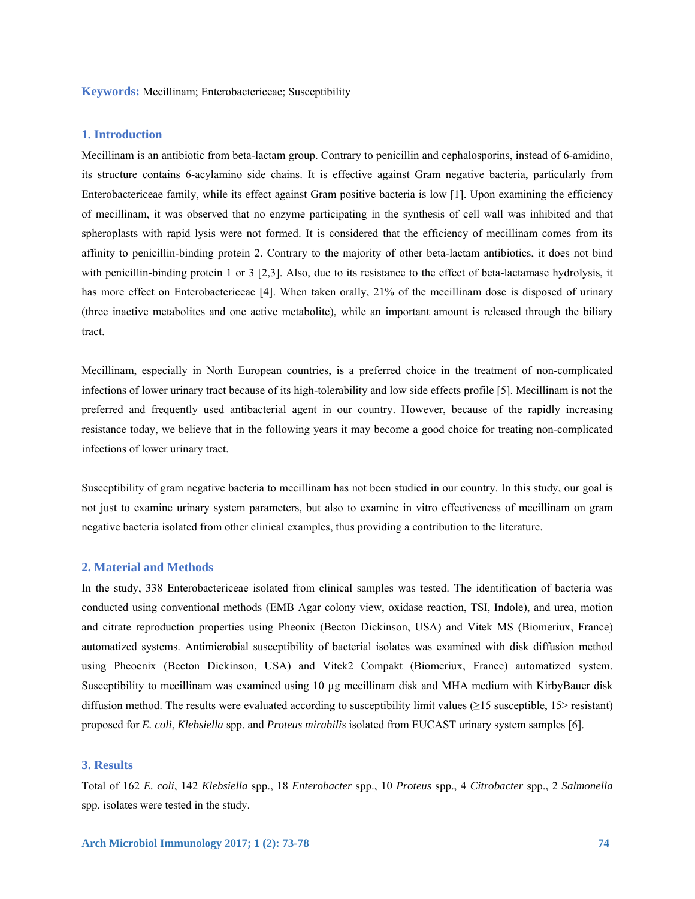**Keywords:** Mecillinam; Enterobactericeae; Susceptibility

#### **1. Introduction**

Mecillinam is an antibiotic from beta-lactam group. Contrary to penicillin and cephalosporins, instead of 6-amidino, its structure contains 6-acylamino side chains. It is effective against Gram negative bacteria, particularly from Enterobactericeae family, while its effect against Gram positive bacteria is low [1]. Upon examining the efficiency of mecillinam, it was observed that no enzyme participating in the synthesis of cell wall was inhibited and that spheroplasts with rapid lysis were not formed. It is considered that the efficiency of mecillinam comes from its affinity to penicillin-binding protein 2. Contrary to the majority of other beta-lactam antibiotics, it does not bind with penicillin-binding protein 1 or 3 [2,3]. Also, due to its resistance to the effect of beta-lactamase hydrolysis, it has more effect on Enterobactericeae [4]. When taken orally, 21% of the mecillinam dose is disposed of urinary (three inactive metabolites and one active metabolite), while an important amount is released through the biliary tract.

Mecillinam, especially in North European countries, is a preferred choice in the treatment of non-complicated infections of lower urinary tract because of its high-tolerability and low side effects profile [5]. Mecillinam is not the preferred and frequently used antibacterial agent in our country. However, because of the rapidly increasing resistance today, we believe that in the following years it may become a good choice for treating non-complicated infections of lower urinary tract.

Susceptibility of gram negative bacteria to mecillinam has not been studied in our country. In this study, our goal is not just to examine urinary system parameters, but also to examine in vitro effectiveness of mecillinam on gram negative bacteria isolated from other clinical examples, thus providing a contribution to the literature.

#### **2. Material and Methods**

In the study, 338 Enterobactericeae isolated from clinical samples was tested. The identification of bacteria was conducted using conventional methods (EMB Agar colony view, oxidase reaction, TSI, Indole), and urea, motion and citrate reproduction properties using Pheonix (Becton Dickinson, USA) and Vitek MS (Biomeriux, France) automatized systems. Antimicrobial susceptibility of bacterial isolates was examined with disk diffusion method using Pheoenix (Becton Dickinson, USA) and Vitek2 Compakt (Biomeriux, France) automatized system. Susceptibility to mecillinam was examined using 10 µg mecillinam disk and MHA medium with KirbyBauer disk diffusion method. The results were evaluated according to susceptibility limit values (≥15 susceptible, 15> resistant) proposed for *E. coli*, *Klebsiella* spp. and *Proteus mirabilis* isolated from EUCAST urinary system samples [6].

### **3. Results**

Total of 162 *E. coli*, 142 *Klebsiella* spp., 18 *Enterobacter* spp., 10 *Proteus* spp., 4 *Citrobacter* spp., 2 *Salmonella* spp. isolates were tested in the study.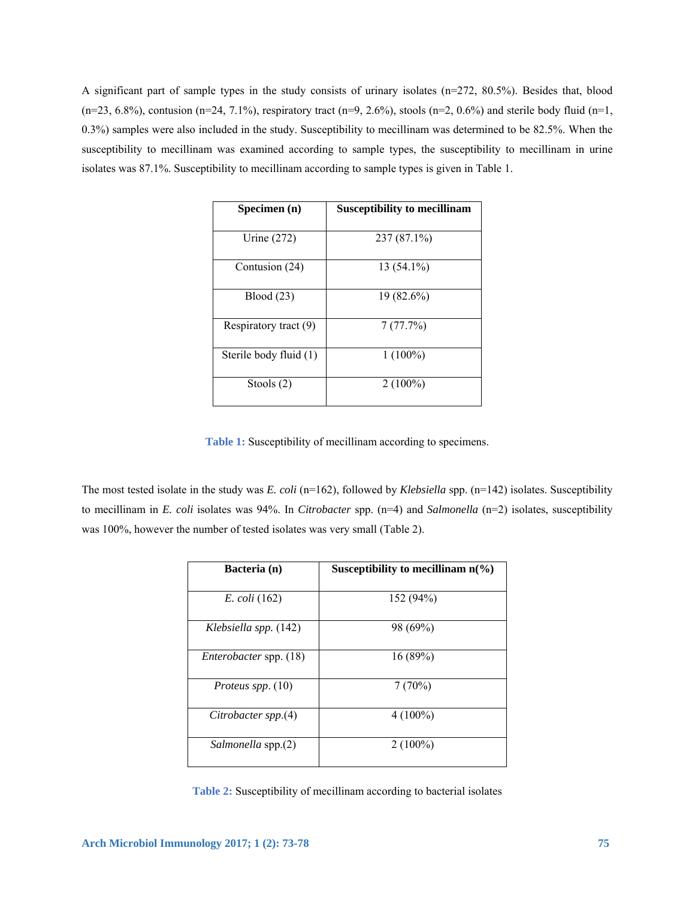A significant part of sample types in the study consists of urinary isolates (n=272, 80.5%). Besides that, blood  $(n=23, 6.8\%)$ , contusion  $(n=24, 7.1\%)$ , respiratory tract  $(n=9, 2.6\%)$ , stools  $(n=2, 0.6\%)$  and sterile body fluid  $(n=1, 1)$ 0.3%) samples were also included in the study. Susceptibility to mecillinam was determined to be 82.5%. When the susceptibility to mecillinam was examined according to sample types, the susceptibility to mecillinam in urine isolates was 87.1%. Susceptibility to mecillinam according to sample types is given in Table 1.

| Specimen (n)           | <b>Susceptibility to mecillinam</b> |
|------------------------|-------------------------------------|
| Urine $(272)$          | 237 (87.1%)                         |
| Contusion (24)         | 13 (54.1%)                          |
| Blood(23)              | $19(82.6\%)$                        |
| Respiratory tract (9)  | 7(77.7%)                            |
| Sterile body fluid (1) | $1(100\%)$                          |
| Stools (2)             | $2(100\%)$                          |

**Table 1:** Susceptibility of mecillinam according to specimens.

The most tested isolate in the study was *E. coli* (n=162), followed by *Klebsiella* spp. (n=142) isolates. Susceptibility to mecillinam in *E. coli* isolates was 94%. In *Citrobacter* spp. (n=4) and *Salmonella* (n=2) isolates, susceptibility was 100%, however the number of tested isolates was very small (Table 2).

| Bacteria (n)                  | Susceptibility to mecillinam $n(\%)$ |
|-------------------------------|--------------------------------------|
| <i>E. coli</i> (162)          | 152(94%)                             |
| Klebsiella spp. (142)         | 98 (69%)                             |
| <i>Enterobacter</i> spp. (18) | 16(89%)                              |
| Proteus spp. $(10)$           | 7(70%)                               |
| Citrobacter spp.(4)           | $4(100\%)$                           |
| Salmonella spp.(2)            | $2(100\%)$                           |

**Table 2:** Susceptibility of mecillinam according to bacterial isolates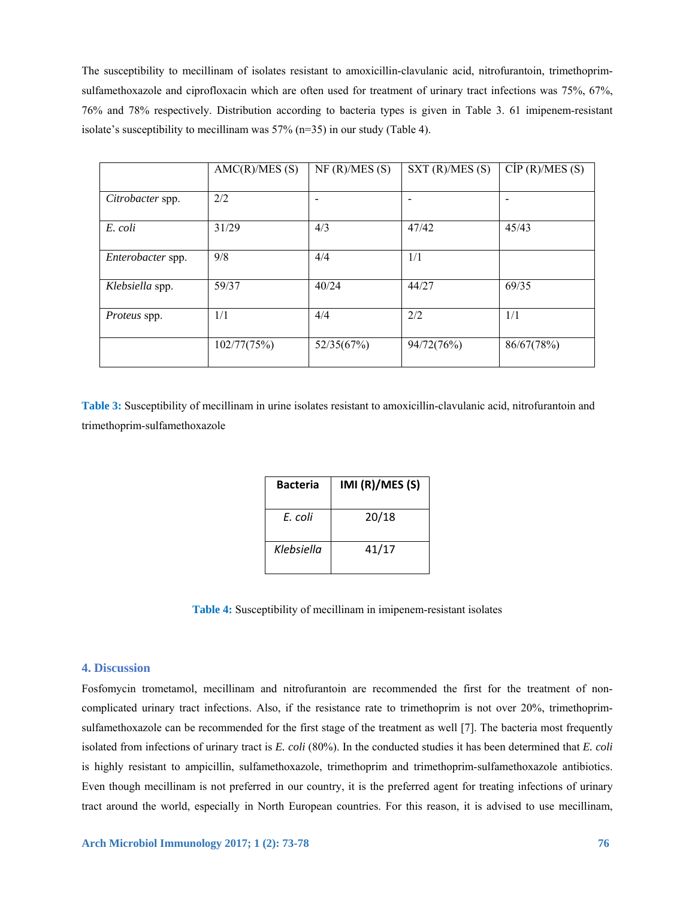The susceptibility to mecillinam of isolates resistant to amoxicillin-clavulanic acid, nitrofurantoin, trimethoprimsulfamethoxazole and ciprofloxacin which are often used for treatment of urinary tract infections was 75%, 67%, 76% and 78% respectively. Distribution according to bacteria types is given in Table 3. 61 imipenem-resistant isolate's susceptibility to mecillinam was 57% (n=35) in our study (Table 4).

|                   | AMC(R)/MES(S) | NF (R)/MES (S) | SXT(R)/MES(S) | CIP (R)/MES (S) |
|-------------------|---------------|----------------|---------------|-----------------|
| Citrobacter spp.  | 2/2           |                |               |                 |
| E. coli           | 31/29         | 4/3            | 47/42         | 45/43           |
| Enterobacter spp. | 9/8           | 4/4            | 1/1           |                 |
| Klebsiella spp.   | 59/37         | 40/24          | 44/27         | 69/35           |
| Proteus spp.      | 1/1           | 4/4            | 2/2           | 1/1             |
|                   | 102/77(75%)   | 52/35(67%)     | 94/72(76%)    | 86/67(78%)      |

**Table 3:** Susceptibility of mecillinam in urine isolates resistant to amoxicillin-clavulanic acid, nitrofurantoin and trimethoprim-sulfamethoxazole

| <b>Bacteria</b> | IMI (R)/MES (S) |
|-----------------|-----------------|
| F. coli         | 20/18           |
| Klebsiella      | 41/17           |

**Table 4:** Susceptibility of mecillinam in imipenem-resistant isolates

#### **4. Discussion**

Fosfomycin trometamol, mecillinam and nitrofurantoin are recommended the first for the treatment of noncomplicated urinary tract infections. Also, if the resistance rate to trimethoprim is not over 20%, trimethoprimsulfamethoxazole can be recommended for the first stage of the treatment as well [7]. The bacteria most frequently isolated from infections of urinary tract is *E. coli* (80%). In the conducted studies it has been determined that *E. coli* is highly resistant to ampicillin, sulfamethoxazole, trimethoprim and trimethoprim-sulfamethoxazole antibiotics. Even though mecillinam is not preferred in our country, it is the preferred agent for treating infections of urinary tract around the world, especially in North European countries. For this reason, it is advised to use mecillinam,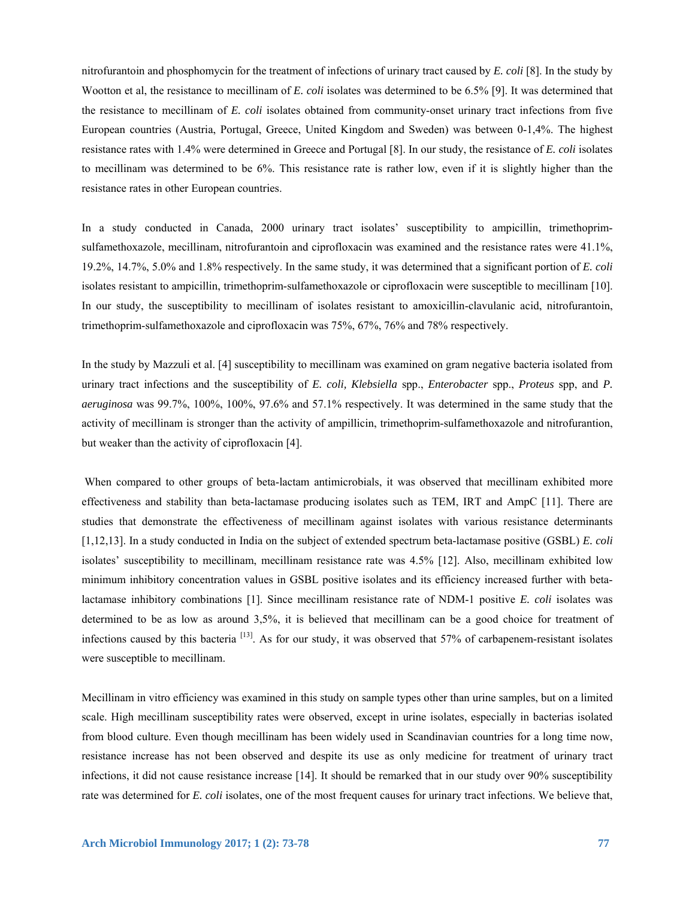nitrofurantoin and phosphomycin for the treatment of infections of urinary tract caused by *E. coli* [8]. In the study by Wootton et al, the resistance to mecillinam of *E. coli* isolates was determined to be 6.5% [9]. It was determined that the resistance to mecillinam of *E. coli* isolates obtained from community-onset urinary tract infections from five European countries (Austria, Portugal, Greece, United Kingdom and Sweden) was between 0-1,4%. The highest resistance rates with 1.4% were determined in Greece and Portugal [8]. In our study, the resistance of *E. coli* isolates to mecillinam was determined to be 6%. This resistance rate is rather low, even if it is slightly higher than the resistance rates in other European countries.

In a study conducted in Canada, 2000 urinary tract isolates' susceptibility to ampicillin, trimethoprimsulfamethoxazole, mecillinam, nitrofurantoin and ciprofloxacin was examined and the resistance rates were 41.1%, 19.2%, 14.7%, 5.0% and 1.8% respectively. In the same study, it was determined that a significant portion of *E. coli* isolates resistant to ampicillin, trimethoprim-sulfamethoxazole or ciprofloxacin were susceptible to mecillinam [10]. In our study, the susceptibility to mecillinam of isolates resistant to amoxicillin-clavulanic acid, nitrofurantoin, trimethoprim-sulfamethoxazole and ciprofloxacin was 75%, 67%, 76% and 78% respectively.

In the study by Mazzuli et al. [4] susceptibility to mecillinam was examined on gram negative bacteria isolated from urinary tract infections and the susceptibility of *E. coli, Klebsiella* spp., *Enterobacter* spp., *Proteus* spp, and *P. aeruginosa* was 99.7%, 100%, 100%, 97.6% and 57.1% respectively. It was determined in the same study that the activity of mecillinam is stronger than the activity of ampillicin, trimethoprim-sulfamethoxazole and nitrofurantion, but weaker than the activity of ciprofloxacin [4].

 When compared to other groups of beta-lactam antimicrobials, it was observed that mecillinam exhibited more effectiveness and stability than beta-lactamase producing isolates such as TEM, IRT and AmpC [11]. There are studies that demonstrate the effectiveness of mecillinam against isolates with various resistance determinants [1,12,13]. In a study conducted in India on the subject of extended spectrum beta-lactamase positive (GSBL) *E. coli* isolates' susceptibility to mecillinam, mecillinam resistance rate was 4.5% [12]. Also, mecillinam exhibited low minimum inhibitory concentration values in GSBL positive isolates and its efficiency increased further with betalactamase inhibitory combinations [1]. Since mecillinam resistance rate of NDM-1 positive *E. coli* isolates was determined to be as low as around 3,5%, it is believed that mecillinam can be a good choice for treatment of infections caused by this bacteria  $\left[^{13} \right]$ . As for our study, it was observed that 57% of carbapenem-resistant isolates were susceptible to mecillinam.

Mecillinam in vitro efficiency was examined in this study on sample types other than urine samples, but on a limited scale. High mecillinam susceptibility rates were observed, except in urine isolates, especially in bacterias isolated from blood culture. Even though mecillinam has been widely used in Scandinavian countries for a long time now, resistance increase has not been observed and despite its use as only medicine for treatment of urinary tract infections, it did not cause resistance increase [14]. It should be remarked that in our study over 90% susceptibility rate was determined for *E. coli* isolates, one of the most frequent causes for urinary tract infections. We believe that,